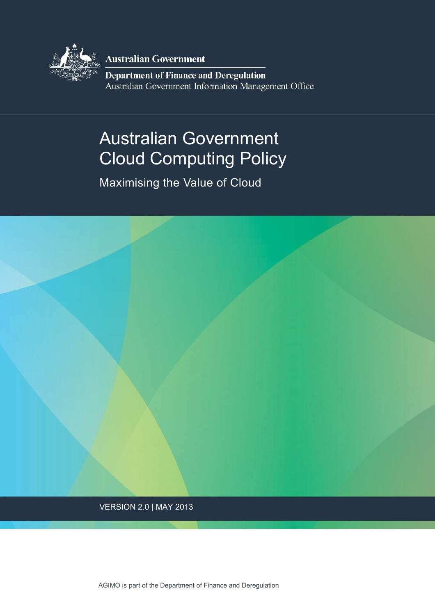

**Australian Government** 

**Department of Finance and Deregulation** Australian Government Information Management Office

# Australian Government Cloud Computing Policy

Maximising the Value of Cloud



VERSION 2.0 | MAY 2013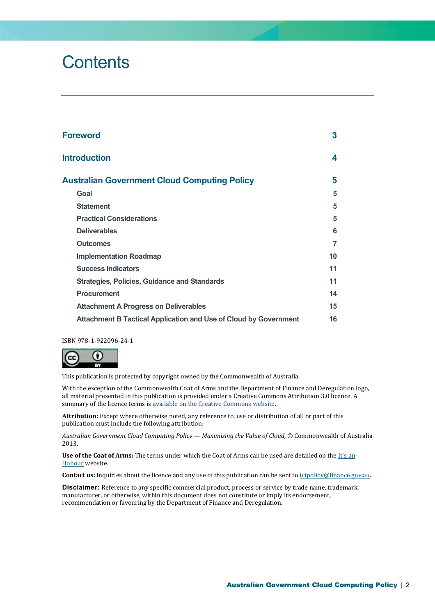# **Contents**

| <b>Foreword</b>                                                         |                |  |  |  |
|-------------------------------------------------------------------------|----------------|--|--|--|
| <b>Introduction</b>                                                     | 4              |  |  |  |
| <b>Australian Government Cloud Computing Policy</b>                     | 5              |  |  |  |
| Goal                                                                    | 5              |  |  |  |
| <b>Statement</b>                                                        | 5              |  |  |  |
| <b>Practical Considerations</b>                                         | 5              |  |  |  |
| <b>Deliverables</b>                                                     | 6              |  |  |  |
| <b>Outcomes</b>                                                         | $\overline{7}$ |  |  |  |
| <b>Implementation Roadmap</b>                                           | 10             |  |  |  |
| <b>Success Indicators</b>                                               | 11             |  |  |  |
| <b>Strategies, Policies, Guidance and Standards</b>                     | 11             |  |  |  |
| <b>Procurement</b>                                                      | 14             |  |  |  |
| <b>Attachment A Progress on Deliverables</b>                            | 15             |  |  |  |
| <b>Attachment B Tactical Application and Use of Cloud by Government</b> | 16             |  |  |  |

ISBN 978-1-922096-24-1



This publication is protected by copyright owned by the Commonwealth of Australia.

With the exception of the Commonwealth Coat of Arms and the Department of Finance and Deregulation logo, all material presented in this publication is provided under a Creative Commons Attribution 3.0 licence. A summary of the licence terms is available on the Creative Commons website.

**Attribution:** Except where otherwise noted, any reference to, use or distribution of all or part of this publication must include the following attribution:

*Australian Government Cloud Computing Policy — Maximising the Value of Cloud*, © Commonwealth of Australia 2013.

**Use of the Coat of Arms:** The terms under which the Coat of Arms can be used are detailed on th[e It's an](http://www.itsanhonour.gov.au/coat-arms/)  [Honour](http://www.itsanhonour.gov.au/coat-arms/) website.

**Contact us:** Inquiries about the licence and any use of this publication can be sent t[o ictpolicy@finance.gov.au.](mailto:ictpolicy@finance.gov.au) 

**Disclaimer:** Reference to any specific commercial product, process or service by trade name, trademark, manufacturer, or otherwise, within this document does not constitute or imply its endorsement, recommendation or favouring by the Department of Finance and Deregulation.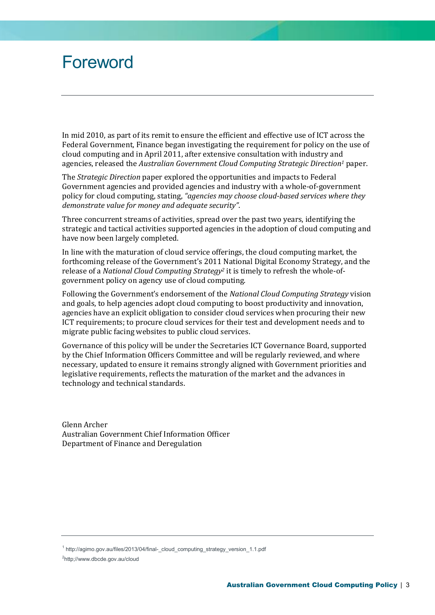# <span id="page-2-0"></span>Foreword

In mid 2010, as part of its remit to ensure the efficient and effective use of ICT across the Federal Government, Finance began investigating the requirement for policy on the use of cloud computing and in April 2011, after extensive consultation with industry and agencies, released the *Australian Government Cloud Computing Strategic Direction<sup>1</sup>* paper.

The *Strategic Direction* paper explored the opportunities and impacts to Federal Government agencies and provided agencies and industry with a whole-of-government policy for cloud computing, stating, *"agencies may choose cloud-based services where they demonstrate value for money and adequate security"*.

Three concurrent streams of activities, spread over the past two years, identifying the strategic and tactical activities supported agencies in the adoption of cloud computing and have now been largely completed.

In line with the maturation of cloud service offerings, the cloud computing market, the forthcoming release of the Government's 2011 National Digital Economy Strategy, and the release of a *National Cloud Computing Strategy<sup>2</sup>* it is timely to refresh the whole-ofgovernment policy on agency use of cloud computing.

Following the Government's endorsement of the *National Cloud Computing Strategy* vision and goals, to help agencies adopt cloud computing to boost productivity and innovation, agencies have an explicit obligation to consider cloud services when procuring their new ICT requirements; to procure cloud services for their test and development needs and to migrate public facing websites to public cloud services.

Governance of this policy will be under the Secretaries ICT Governance Board, supported by the Chief Information Officers Committee and will be regularly reviewed, and where necessary, updated to ensure it remains strongly aligned with Government priorities and legislative requirements, reflects the maturation of the market and the advances in technology and technical standards.

Glenn Archer Australian Government Chief Information Officer Department of Finance and Deregulation

<sup>2</sup>http;//www.dbcde.gov.au/cloud

<sup>&</sup>lt;sup>1</sup> http://agimo.gov.au/files/2013/04/final-\_cloud\_computing\_strategy\_version\_1.1.pdf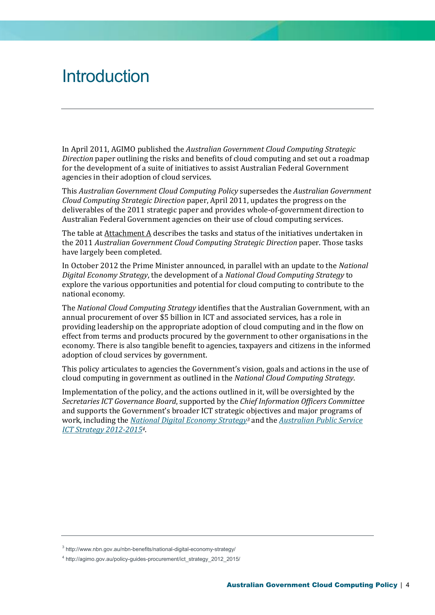# <span id="page-3-0"></span>**Introduction**

In April 2011, AGIMO published the *Australian Government Cloud Computing Strategic Direction* paper outlining the risks and benefits of cloud computing and set out a roadmap for the development of a suite of initiatives to assist Australian Federal Government agencies in their adoption of cloud services.

This *Australian Government Cloud Computing Policy* supersedes the *Australian Government Cloud Computing Strategic Direction* paper, April 2011, updates the progress on the deliverables of the 2011 strategic paper and provides whole-of-government direction to Australian Federal Government agencies on their use of cloud computing services.

The table at Attachment A describes the tasks and status of the initiatives undertaken in the 2011 *Australian Government Cloud Computing Strategic Direction* paper. Those tasks have largely been completed.

In October 2012 the Prime Minister announced, in parallel with an update to the *National Digital Economy Strategy*, the development of a *National Cloud Computing Strategy* to explore the various opportunities and potential for cloud computing to contribute to the national economy.

The *National Cloud Computing Strategy* identifies that the Australian Government, with an annual procurement of over \$5 billion in ICT and associated services, has a role in providing leadership on the appropriate adoption of cloud computing and in the flow on effect from terms and products procured by the government to other organisations in the economy. There is also tangible benefit to agencies, taxpayers and citizens in the informed adoption of cloud services by government.

This policy articulates to agencies the Government's vision, goals and actions in the use of cloud computing in government as outlined in the *National Cloud Computing Strategy*.

Implementation of the policy, and the actions outlined in it, will be oversighted by the *Secretaries ICT Governance Board*, supported by the *Chief Information Officers Committee* and supports the Government's broader ICT strategic objectives and major programs of work, including the *[National Digital Economy Strategy](http://www.nbn.gov.au/nbn-benefits/national-digital-economy-strategy/)<sup>3</sup>* and the *[Australian Public Service](http://agimo.gov.au/policy-guides-procurement/ict_strategy_2012_2015/)  [ICT Strategy 2012-2015](http://agimo.gov.au/policy-guides-procurement/ict_strategy_2012_2015/)4*.

<sup>3</sup> http://www.nbn.gov.au/nbn-benefits/national-digital-economy-strategy/

<sup>4</sup> http://agimo.gov.au/policy-guides-procurement/ict\_strategy\_2012\_2015/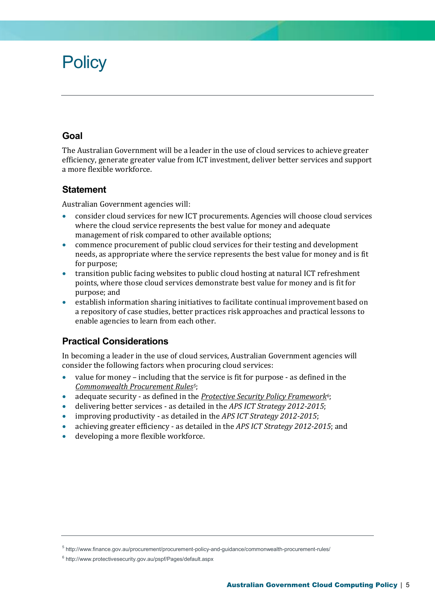# <span id="page-4-0"></span>**Policy**

## <span id="page-4-1"></span>**Goal**

The Australian Government will be a leader in the use of cloud services to achieve greater efficiency, generate greater value from ICT investment, deliver better services and support a more flexible workforce.

## <span id="page-4-2"></span>**Statement**

Australian Government agencies will:

- consider cloud services for new ICT procurements. Agencies will choose cloud services where the cloud service represents the best value for money and adequate management of risk compared to other available options;
- commence procurement of public cloud services for their testing and development needs, as appropriate where the service represents the best value for money and is fit for purpose;
- transition public facing websites to public cloud hosting at natural ICT refreshment points, where those cloud services demonstrate best value for money and is fit for purpose; and
- establish information sharing initiatives to facilitate continual improvement based on a repository of case studies, better practices risk approaches and practical lessons to enable agencies to learn from each other.

## <span id="page-4-3"></span>**Practical Considerations**

In becoming a leader in the use of cloud services, Australian Government agencies will consider the following factors when procuring cloud services:

- value for money including that the service is fit for purpose as defined in the *[Commonwealth Procurement Rules](http://www.finance.gov.au/procurement/procurement-policy-and-guidance/commonwealth-procurement-rules/)5*;
- adequate security as defined in the *[Protective Security Policy Framework](http://www.protectivesecurity.gov.au/pspf/Pages/default.aspx)6*;
- delivering better services as detailed in the *APS ICT Strategy 2012-2015*;
- improving productivity as detailed in the *APS ICT Strategy 2012-2015*;
- achieving greater efficiency as detailed in the *APS ICT Strategy 2012-2015*; and
- developing a more flexible workforce.

<sup>5</sup> http://www.finance.gov.au/procurement/procurement-policy-and-guidance/commonwealth-procurement-rules/

<sup>6</sup> http://www.protectivesecurity.gov.au/pspf/Pages/default.aspx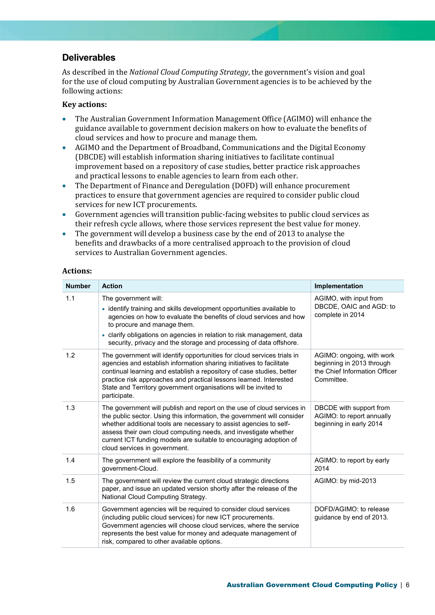## <span id="page-5-0"></span>**Deliverables**

As described in the *National Cloud Computing Strategy*, the government's vision and goal for the use of cloud computing by Australian Government agencies is to be achieved by the following actions:

#### **Key actions:**

- The Australian Government Information Management Office (AGIMO) will enhance the guidance available to government decision makers on how to evaluate the benefits of cloud services and how to procure and manage them.
- AGIMO and the Department of Broadband, Communications and the Digital Economy (DBCDE) will establish information sharing initiatives to facilitate continual improvement based on a repository of case studies, better practice risk approaches and practical lessons to enable agencies to learn from each other.
- The Department of Finance and Deregulation (DOFD) will enhance procurement practices to ensure that government agencies are required to consider public cloud services for new ICT procurements.
- Government agencies will transition public-facing websites to public cloud services as their refresh cycle allows, where those services represent the best value for money.
- The government will develop a business case by the end of 2013 to analyse the benefits and drawbacks of a more centralised approach to the provision of cloud services to Australian Government agencies.

#### **Actions:**

| <b>Number</b> | <b>Action</b>                                                                                                                                                                                                                                                                                                                                                                                     | Implementation                                                                                        |
|---------------|---------------------------------------------------------------------------------------------------------------------------------------------------------------------------------------------------------------------------------------------------------------------------------------------------------------------------------------------------------------------------------------------------|-------------------------------------------------------------------------------------------------------|
| 1.1           | The government will:<br>• identify training and skills development opportunities available to<br>agencies on how to evaluate the benefits of cloud services and how<br>to procure and manage them.<br>• clarify obligations on agencies in relation to risk management, data<br>security, privacy and the storage and processing of data offshore.                                                | AGIMO, with input from<br>DBCDE, OAIC and AGD: to<br>complete in 2014                                 |
| 1.2           | The government will identify opportunities for cloud services trials in<br>agencies and establish information sharing initiatives to facilitate<br>continual learning and establish a repository of case studies, better<br>practice risk approaches and practical lessons learned. Interested<br>State and Territory government organisations will be invited to<br>participate.                 | AGIMO: ongoing, with work<br>beginning in 2013 through<br>the Chief Information Officer<br>Committee. |
| 1.3           | The government will publish and report on the use of cloud services in<br>the public sector. Using this information, the government will consider<br>whether additional tools are necessary to assist agencies to self-<br>assess their own cloud computing needs, and investigate whether<br>current ICT funding models are suitable to encouraging adoption of<br>cloud services in government. | DBCDE with support from<br>AGIMO: to report annually<br>beginning in early 2014                       |
| 1.4           | The government will explore the feasibility of a community<br>government-Cloud.                                                                                                                                                                                                                                                                                                                   | AGIMO: to report by early<br>2014                                                                     |
| 1.5           | The government will review the current cloud strategic directions<br>paper, and issue an updated version shortly after the release of the<br>National Cloud Computing Strategy.                                                                                                                                                                                                                   | AGIMO: by mid-2013                                                                                    |
| 1.6           | Government agencies will be required to consider cloud services<br>(including public cloud services) for new ICT procurements.<br>Government agencies will choose cloud services, where the service<br>represents the best value for money and adequate management of<br>risk, compared to other available options.                                                                               | DOFD/AGIMO: to release<br>guidance by end of 2013.                                                    |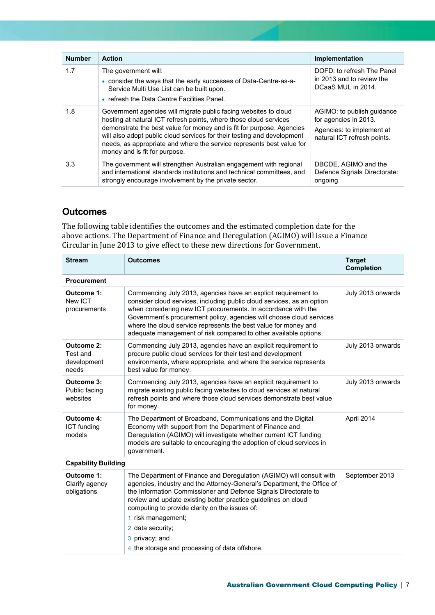| <b>Number</b> | <b>Action</b>                                                                                                                                                                                                                                                                                                                                                                                       | Implementation                                                                                                  |
|---------------|-----------------------------------------------------------------------------------------------------------------------------------------------------------------------------------------------------------------------------------------------------------------------------------------------------------------------------------------------------------------------------------------------------|-----------------------------------------------------------------------------------------------------------------|
| 1.7           | The government will:<br>• consider the ways that the early successes of Data-Centre-as-a-<br>Service Multi Use List can be built upon.<br>• refresh the Data Centre Facilities Panel.                                                                                                                                                                                                               | DOFD: to refresh The Panel<br>in 2013 and to review the<br>DCaaS MUL in 2014.                                   |
| 1.8           | Government agencies will migrate public facing websites to cloud<br>hosting at natural ICT refresh points, where those cloud services<br>demonstrate the best value for money and is fit for purpose. Agencies<br>will also adopt public cloud services for their testing and development<br>needs, as appropriate and where the service represents best value for<br>money and is fit for purpose. | AGIMO: to publish guidance<br>for agencies in 2013.<br>Agencies: to implement at<br>natural ICT refresh points. |
| 3.3           | The government will strengthen Australian engagement with regional<br>and international standards institutions and technical committees, and<br>strongly encourage involvement by the private sector.                                                                                                                                                                                               | DBCDE, AGIMO and the<br>Defence Signals Directorate:<br>ongoing.                                                |

## <span id="page-6-0"></span>**Outcomes**

The following table identifies the outcomes and the estimated completion date for the above actions. The Department of Finance and Deregulation (AGIMO) will issue a Finance Circular in June 2013 to give effect to these new directions for Government.

| <b>Stream</b>                                                                                                                                                                                                                                                                                                                                                                                                                                                     | <b>Target</b><br><b>Completion</b>                                                                                                                                                                                           |                   |  |  |  |  |  |  |
|-------------------------------------------------------------------------------------------------------------------------------------------------------------------------------------------------------------------------------------------------------------------------------------------------------------------------------------------------------------------------------------------------------------------------------------------------------------------|------------------------------------------------------------------------------------------------------------------------------------------------------------------------------------------------------------------------------|-------------------|--|--|--|--|--|--|
| <b>Procurement</b>                                                                                                                                                                                                                                                                                                                                                                                                                                                |                                                                                                                                                                                                                              |                   |  |  |  |  |  |  |
| Outcome 1:<br>Commencing July 2013, agencies have an explicit requirement to<br>New ICT<br>consider cloud services, including public cloud services, as an option<br>when considering new ICT procurements. In accordance with the<br>procurements<br>Government's procurement policy, agencies will choose cloud services<br>where the cloud service represents the best value for money and<br>adequate management of risk compared to other available options. |                                                                                                                                                                                                                              | July 2013 onwards |  |  |  |  |  |  |
| <b>Outcome 2:</b><br>Test and<br>development<br>needs                                                                                                                                                                                                                                                                                                                                                                                                             | Commencing July 2013, agencies have an explicit requirement to<br>procure public cloud services for their test and development<br>environments, where appropriate, and where the service represents<br>best value for money. | July 2013 onwards |  |  |  |  |  |  |
| Outcome 3:<br>Public facing<br>websites                                                                                                                                                                                                                                                                                                                                                                                                                           | Commencing July 2013, agencies have an explicit requirement to<br>migrate existing public facing websites to cloud services at natural<br>refresh points and where those cloud services demonstrate best value<br>for money. | July 2013 onwards |  |  |  |  |  |  |
| <b>Outcome 4:</b><br>The Department of Broadband, Communications and the Digital<br>Economy with support from the Department of Finance and<br><b>ICT</b> funding<br>Deregulation (AGIMO) will investigate whether current ICT funding<br>models<br>models are suitable to encouraging the adoption of cloud services in<br>government.                                                                                                                           |                                                                                                                                                                                                                              | April 2014        |  |  |  |  |  |  |
| <b>Capability Building</b>                                                                                                                                                                                                                                                                                                                                                                                                                                        |                                                                                                                                                                                                                              |                   |  |  |  |  |  |  |
| Outcome 1:<br>The Department of Finance and Deregulation (AGIMO) will consult with<br>agencies, industry and the Attorney-General's Department, the Office of<br>Clarify agency<br>the Information Commissioner and Defence Signals Directorate to<br>obligations<br>review and update existing better practice guidelines on cloud<br>computing to provide clarity on the issues of:<br>1. risk management;                                                      |                                                                                                                                                                                                                              | September 2013    |  |  |  |  |  |  |
|                                                                                                                                                                                                                                                                                                                                                                                                                                                                   | 2. data security;                                                                                                                                                                                                            |                   |  |  |  |  |  |  |
|                                                                                                                                                                                                                                                                                                                                                                                                                                                                   | 3. privacy; and                                                                                                                                                                                                              |                   |  |  |  |  |  |  |
|                                                                                                                                                                                                                                                                                                                                                                                                                                                                   | 4. the storage and processing of data offshore.                                                                                                                                                                              |                   |  |  |  |  |  |  |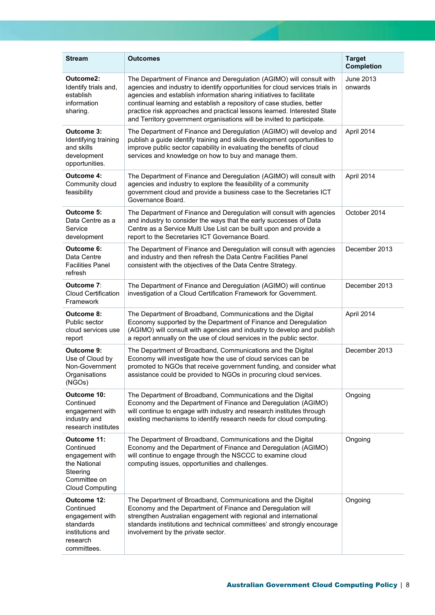| <b>Stream</b>                                                                                                     |                                                                                                                                                                                                                                                                                                                                                                                                                                                             | <b>Target</b>        |
|-------------------------------------------------------------------------------------------------------------------|-------------------------------------------------------------------------------------------------------------------------------------------------------------------------------------------------------------------------------------------------------------------------------------------------------------------------------------------------------------------------------------------------------------------------------------------------------------|----------------------|
|                                                                                                                   | <b>Outcomes</b>                                                                                                                                                                                                                                                                                                                                                                                                                                             | <b>Completion</b>    |
| Outcome2:<br>Identify trials and,<br>establish<br>information<br>sharing.                                         | The Department of Finance and Deregulation (AGIMO) will consult with<br>agencies and industry to identify opportunities for cloud services trials in<br>agencies and establish information sharing initiatives to facilitate<br>continual learning and establish a repository of case studies, better<br>practice risk approaches and practical lessons learned. Interested State<br>and Territory government organisations will be invited to participate. | June 2013<br>onwards |
| Outcome 3:<br>Identifying training<br>and skills<br>development<br>opportunities.                                 | The Department of Finance and Deregulation (AGIMO) will develop and<br>publish a guide identify training and skills development opportunities to<br>improve public sector capability in evaluating the benefits of cloud<br>services and knowledge on how to buy and manage them.                                                                                                                                                                           | April 2014           |
| <b>Outcome 4:</b><br>Community cloud<br>feasibility                                                               | The Department of Finance and Deregulation (AGIMO) will consult with<br>agencies and industry to explore the feasibility of a community<br>government cloud and provide a business case to the Secretaries ICT<br>Governance Board.                                                                                                                                                                                                                         | April 2014           |
| Outcome 5:<br>Data Centre as a<br>Service<br>development                                                          | The Department of Finance and Deregulation will consult with agencies<br>and industry to consider the ways that the early successes of Data<br>Centre as a Service Multi Use List can be built upon and provide a<br>report to the Secretaries ICT Governance Board.                                                                                                                                                                                        | October 2014         |
| Outcome 6:<br>Data Centre<br><b>Facilities Panel</b><br>refresh                                                   | The Department of Finance and Deregulation will consult with agencies<br>and industry and then refresh the Data Centre Facilities Panel<br>consistent with the objectives of the Data Centre Strategy.                                                                                                                                                                                                                                                      | December 2013        |
| Outcome 7:<br><b>Cloud Certification</b><br>Framework                                                             | The Department of Finance and Deregulation (AGIMO) will continue<br>investigation of a Cloud Certification Framework for Government.                                                                                                                                                                                                                                                                                                                        | December 2013        |
| Outcome 8:<br>Public sector<br>cloud services use<br>report                                                       | The Department of Broadband, Communications and the Digital<br>Economy supported by the Department of Finance and Deregulation<br>(AGIMO) will consult with agencies and industry to develop and publish<br>a report annually on the use of cloud services in the public sector.                                                                                                                                                                            | April 2014           |
| Outcome 9:<br>Use of Cloud by<br>Non-Government<br>Organisations<br>(NGOs)                                        | The Department of Broadband, Communications and the Digital<br>Economy will investigate how the use of cloud services can be<br>promoted to NGOs that receive government funding, and consider what<br>assistance could be provided to NGOs in procuring cloud services.                                                                                                                                                                                    | December 2013        |
| Outcome 10:<br>Continued<br>engagement with<br>industry and<br>research institutes                                | The Department of Broadband, Communications and the Digital<br>Economy and the Department of Finance and Deregulation (AGIMO)<br>will continue to engage with industry and research institutes through<br>existing mechanisms to identify research needs for cloud computing.                                                                                                                                                                               | Ongoing              |
| Outcome 11:<br>Continued<br>engagement with<br>the National<br>Steering<br>Committee on<br><b>Cloud Computing</b> | The Department of Broadband, Communications and the Digital<br>Economy and the Department of Finance and Deregulation (AGIMO)<br>will continue to engage through the NSCCC to examine cloud<br>computing issues, opportunities and challenges.                                                                                                                                                                                                              | Ongoing              |
| Outcome 12:<br>Continued<br>engagement with<br>standards<br>institutions and<br>research<br>committees.           | The Department of Broadband, Communications and the Digital<br>Economy and the Department of Finance and Deregulation will<br>strengthen Australian engagement with regional and international<br>standards institutions and technical committees' and strongly encourage<br>involvement by the private sector.                                                                                                                                             | Ongoing              |

J.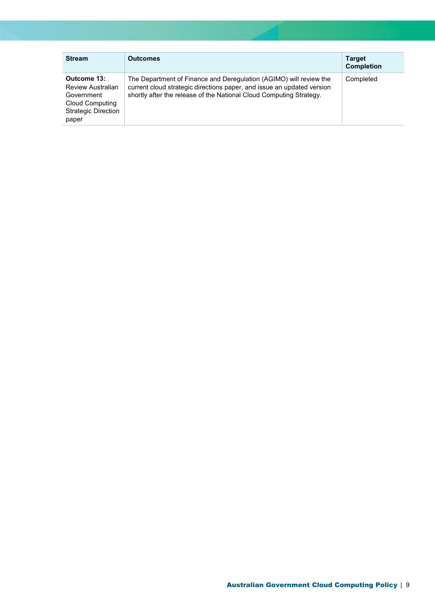| <b>Stream</b>                                                                                                          | <b>Outcomes</b>                                                                                                                                                                                                     | <b>Target</b><br><b>Completion</b> |
|------------------------------------------------------------------------------------------------------------------------|---------------------------------------------------------------------------------------------------------------------------------------------------------------------------------------------------------------------|------------------------------------|
| Outcome 13:<br><b>Review Australian</b><br>Government<br><b>Cloud Computing</b><br><b>Strategic Direction</b><br>paper | The Department of Finance and Deregulation (AGIMO) will review the<br>current cloud strategic directions paper, and issue an updated version<br>shortly after the release of the National Cloud Computing Strategy. | Completed                          |

J.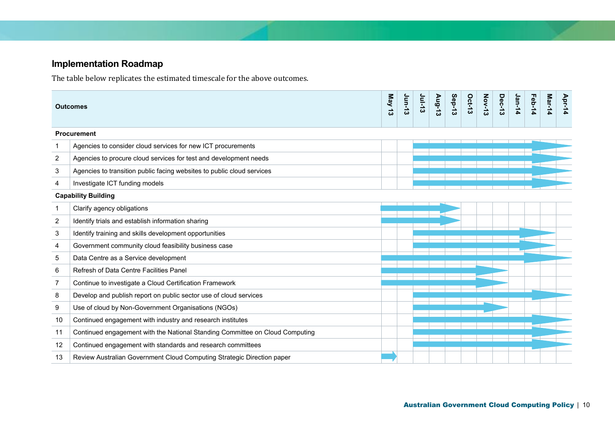# **Implementation Roadmap**

The table below replicates the estimated timescale for the above outcomes.

<span id="page-9-0"></span>

| May 13<br><b>Outcomes</b> |                                                                              |  | Jun-13 | <b>Jul-13</b> | Aug-13 | Sep-13 | Oct-13 | <b>Nov-13</b> | Dec-13 | Jan-14 | Feb-14 | Mar-14 | Apr-14 |
|---------------------------|------------------------------------------------------------------------------|--|--------|---------------|--------|--------|--------|---------------|--------|--------|--------|--------|--------|
|                           | <b>Procurement</b>                                                           |  |        |               |        |        |        |               |        |        |        |        |        |
| -1                        | Agencies to consider cloud services for new ICT procurements                 |  |        |               |        |        |        |               |        |        |        |        |        |
| $\overline{2}$            | Agencies to procure cloud services for test and development needs            |  |        |               |        |        |        |               |        |        |        |        |        |
| 3                         | Agencies to transition public facing websites to public cloud services       |  |        |               |        |        |        |               |        |        |        |        |        |
| 4                         | Investigate ICT funding models                                               |  |        |               |        |        |        |               |        |        |        |        |        |
|                           | <b>Capability Building</b>                                                   |  |        |               |        |        |        |               |        |        |        |        |        |
| -1                        | Clarify agency obligations                                                   |  |        |               |        |        |        |               |        |        |        |        |        |
| 2                         | Identify trials and establish information sharing                            |  |        |               |        |        |        |               |        |        |        |        |        |
| 3                         | Identify training and skills development opportunities                       |  |        |               |        |        |        |               |        |        |        |        |        |
| 4                         | Government community cloud feasibility business case                         |  |        |               |        |        |        |               |        |        |        |        |        |
| 5                         | Data Centre as a Service development                                         |  |        |               |        |        |        |               |        |        |        |        |        |
| 6                         | Refresh of Data Centre Facilities Panel                                      |  |        |               |        |        |        |               |        |        |        |        |        |
| $\overline{7}$            | Continue to investigate a Cloud Certification Framework                      |  |        |               |        |        |        |               |        |        |        |        |        |
| 8                         | Develop and publish report on public sector use of cloud services            |  |        |               |        |        |        |               |        |        |        |        |        |
| 9                         | Use of cloud by Non-Government Organisations (NGOs)                          |  |        |               |        |        |        |               |        |        |        |        |        |
| 10                        | Continued engagement with industry and research institutes                   |  |        |               |        |        |        |               |        |        |        |        |        |
| 11                        | Continued engagement with the National Standing Committee on Cloud Computing |  |        |               |        |        |        |               |        |        |        |        |        |
| 12                        | Continued engagement with standards and research committees                  |  |        |               |        |        |        |               |        |        |        |        |        |
| 13                        | Review Australian Government Cloud Computing Strategic Direction paper       |  |        |               |        |        |        |               |        |        |        |        |        |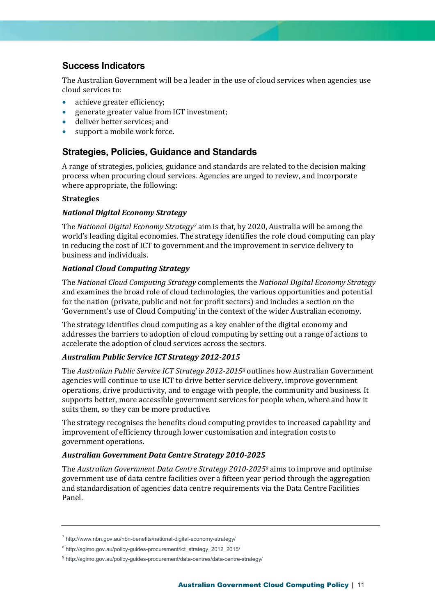## <span id="page-10-0"></span>**Success Indicators**

The Australian Government will be a leader in the use of cloud services when agencies use cloud services to:

- achieve greater efficiency;
- generate greater value from ICT investment;
- deliver better services; and
- support a mobile work force.

### <span id="page-10-1"></span>**Strategies, Policies, Guidance and Standards**

A range of strategies, policies, guidance and standards are related to the decision making process when procuring cloud services. Agencies are urged to review, and incorporate where appropriate, the following:

#### **Strategies**

#### *National Digital Economy Strategy*

The *National Digital Economy Strategy<sup>7</sup>* aim is that, by 2020, Australia will be among the world's leading digital economies. The strategy identifies the role cloud computing can play in reducing the cost of ICT to government and the improvement in service delivery to business and individuals.

#### *National Cloud Computing Strategy*

The *National Cloud Computing Strategy* complements the *National Digital Economy Strategy* and examines the broad role of cloud technologies, the various opportunities and potential for the nation (private, public and not for profit sectors) and includes a section on the 'Government's use of Cloud Computing' in the context of the wider Australian economy.

The strategy identifies cloud computing as a key enabler of the digital economy and addresses the barriers to adoption of cloud computing by setting out a range of actions to accelerate the adoption of cloud services across the sectors.

#### *Australian Public Service ICT Strategy 2012-2015*

The *Australian Public Service ICT Strategy 2012-2015<sup>8</sup>* outlines how Australian Government agencies will continue to use ICT to drive better service delivery, improve government operations, drive productivity, and to engage with people, the community and business. It supports better, more accessible government services for people when, where and how it suits them, so they can be more productive.

The strategy recognises the benefits cloud computing provides to increased capability and improvement of efficiency through lower customisation and integration costs to government operations.

#### *Australian Government Data Centre Strategy 2010-2025*

The *Australian Government Data Centre Strategy 2010-2025<sup>9</sup>* aims to improve and optimise government use of data centre facilities over a fifteen year period through the aggregation and standardisation of agencies data centre requirements via the Data Centre Facilities Panel.

<sup>&</sup>lt;sup>7</sup> http://www.nbn.gov.au/nbn-benefits/national-digital-economy-strategy/

<sup>&</sup>lt;sup>8</sup> http://agimo.gov.au/policy-guides-procurement/ict\_strategy\_2012\_2015/

<sup>&</sup>lt;sup>9</sup> http://agimo.gov.au/policy-guides-procurement/data-centres/data-centre-strategy/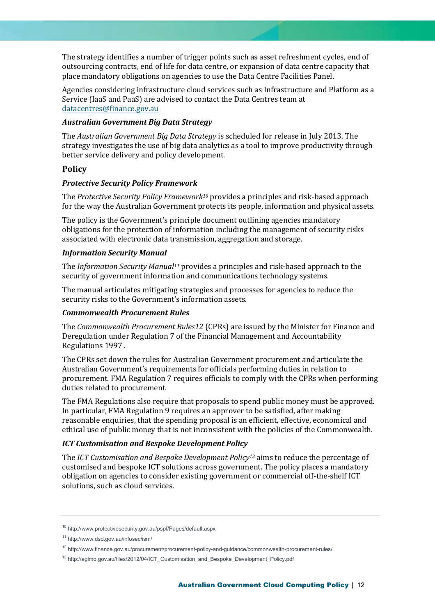The strategy identifies a number of trigger points such as asset refreshment cycles, end of outsourcing contracts, end of life for data centre, or expansion of data centre capacity that place mandatory obligations on agencies to use the Data Centre Facilities Panel.

Agencies considering infrastructure cloud services such as Infrastructure and Platform as a Service (IaaS and PaaS) are advised to contact the Data Centres team at [datacentres@finance.gov.au](mailto:datacentres@finance.gov.au)

#### *Australian Government Big Data Strategy*

The *Australian Government Big Data Strategy* is scheduled for release in July 2013. The strategy investigates the use of big data analytics as a tool to improve productivity through better service delivery and policy development.

#### **Policy**

#### *Protective Security Policy Framework*

The *Protective Security Policy Framework<sup>10</sup>* provides a principles and risk-based approach for the way the Australian Government protects its people, information and physical assets.

The policy is the Government's principle document outlining agencies mandatory obligations for the protection of information including the management of security risks associated with electronic data transmission, aggregation and storage.

#### *Information Security Manual*

The *Information Security Manual<sup>11</sup>* provides a principles and risk-based approach to the security of government information and communications technology systems.

The manual articulates mitigating strategies and processes for agencies to reduce the security risks to the Government's information assets.

#### *Commonwealth Procurement Rules*

The *Commonwealth Procurement Rules12* (CPRs) are issued by the Minister for Finance and Deregulation under Regulation 7 of the Financial Management and Accountability Regulations 1997 .

The CPRs set down the rules for Australian Government procurement and articulate the Australian Government's requirements for officials performing duties in relation to procurement. FMA Regulation 7 requires officials to comply with the CPRs when performing duties related to procurement.

The FMA Regulations also require that proposals to spend public money must be approved. In particular, FMA Regulation 9 requires an approver to be satisfied, after making reasonable enquiries, that the spending proposal is an efficient, effective, economical and ethical use of public money that is not inconsistent with the policies of the Commonwealth.

#### *ICT Customisation and Bespoke Development Policy*

The *ICT Customisation and Bespoke Development Policy<sup>13</sup>* aims to reduce the percentage of customised and bespoke ICT solutions across government. The policy places a mandatory obligation on agencies to consider existing government or commercial off-the-shelf ICT solutions, such as cloud services.

<sup>10</sup> http://www.protectivesecurity.gov.au/pspf/Pages/default.aspx

<sup>11</sup> http://www.dsd.gov.au/infosec/ism/

<sup>12</sup> http://www.finance.gov.au/procurement/procurement-policy-and-guidance/commonwealth-procurement-rules/

<sup>13</sup> http://agimo.gov.au/files/2012/04/ICT\_Customisation\_and\_Bespoke\_Development\_Policy.pdf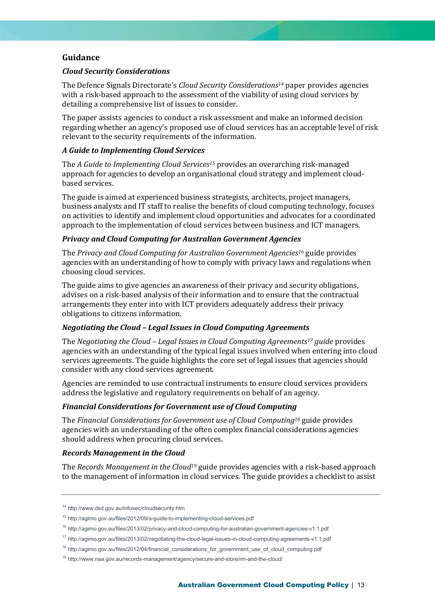#### **Guidance**

#### *Cloud Security Considerations*

The Defence Signals Directorate's *Cloud Security Considerations<sup>14</sup>* paper provides agencies with a risk-based approach to the assessment of the viability of using cloud services by detailing a comprehensive list of issues to consider.

The paper assists agencies to conduct a risk assessment and make an informed decision regarding whether an agency's proposed use of cloud services has an acceptable level of risk relevant to the security requirements of the information.

#### *A Guide to Implementing Cloud Services*

The *A Guide to Implementing Cloud Services<sup>15</sup>* provides an overarching risk-managed approach for agencies to develop an organisational cloud strategy and implement cloudbased services.

The guide is aimed at experienced business strategists, architects, project managers, business analysts and IT staff to realise the benefits of cloud computing technology, focuses on activities to identify and implement cloud opportunities and advocates for a coordinated approach to the implementation of cloud services between business and ICT managers.

#### *Privacy and Cloud Computing for Australian Government Agencies*

The *Privacy and Cloud Computing for Australian Government Agencies<sup>16</sup>* guide provides agencies with an understanding of how to comply with privacy laws and regulations when choosing cloud services.

The guide aims to give agencies an awareness of their privacy and security obligations, advises on a risk-based analysis of their information and to ensure that the contractual arrangements they enter into with ICT providers adequately address their privacy obligations to citizens information.

#### *Negotiating the Cloud – Legal Issues in Cloud Computing Agreements*

The *Negotiating the Cloud – Legal Issues in Cloud Computing Agreements<sup>17</sup> guide* provides agencies with an understanding of the typical legal issues involved when entering into cloud services agreements. The guide highlights the core set of legal issues that agencies should consider with any cloud services agreement.

Agencies are reminded to use contractual instruments to ensure cloud services providers address the legislative and regulatory requirements on behalf of an agency.

#### *Financial Considerations for Government use of Cloud Computing*

The *Financial Considerations for Government use of Cloud Computing<sup>18</sup>* guide provides agencies with an understanding of the often complex financial considerations agencies should address when procuring cloud services.

#### *Records Management in the Cloud*

The *Records Management in the Cloud<sup>19</sup>* guide provides agencies with a risk-based approach to the management of information in cloud services. The guide provides a checklist to assist

<sup>14</sup> http://www.dsd.gov.au/infosec/cloudsecurity.htm

<sup>15</sup> http://agimo.gov.au/files/2012/09/a-guide-to-implementing-cloud-services.pdf

<sup>16</sup> http://agimo.gov.au/files/2013/02/privacy-and-cloud-computing-for-australian-government-agencies-v1.1.pdf

<sup>17</sup> http://agimo.gov.au/files/2013/02/negotiating-the-cloud-legal-issues-in-cloud-computing-agreements-v1.1.pdf

 $18$  http://agimo.gov.au/files/2012/04/financial\_considerations\_for\_government\_use\_of\_cloud\_computing.pdf

<sup>19</sup> http://www.naa.gov.au/records-management/agency/secure-and-store/rm-and-the-cloud/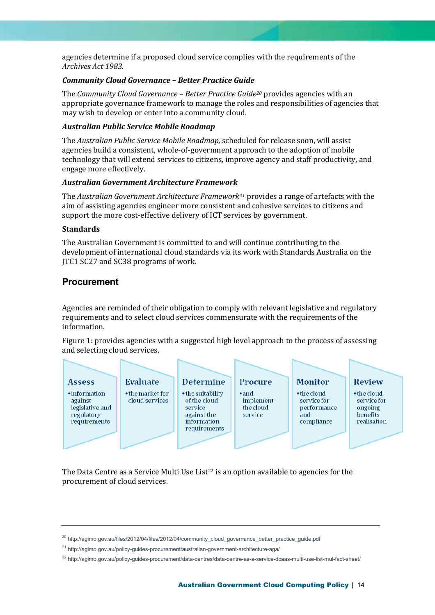agencies determine if a proposed cloud service complies with the requirements of the *Archives Act 1983*.

#### *Community Cloud Governance – Better Practice Guide*

The *Community Cloud Governance – Better Practice Guide<sup>20</sup>* provides agencies with an appropriate governance framework to manage the roles and responsibilities of agencies that may wish to develop or enter into a community cloud.

#### *Australian Public Service Mobile Roadmap*

The *Australian Public Service Mobile Roadmap,* scheduled for release soon, will assist agencies build a consistent, whole-of-government approach to the adoption of mobile technology that will extend services to citizens, improve agency and staff productivity, and engage more effectively.

#### *Australian Government Architecture Framework*

The *Australian Government Architecture Framework<sup>21</sup>* provides a range of artefacts with the aim of assisting agencies engineer more consistent and cohesive services to citizens and support the more cost-effective delivery of ICT services by government.

#### **Standards**

The Australian Government is committed to and will continue contributing to the development of international cloud standards via its work with Standards Australia on the JTC1 SC27 and SC38 programs of work.

### <span id="page-13-0"></span>**Procurement**

Agencies are reminded of their obligation to comply with relevant legislative and regulatory requirements and to select cloud services commensurate with the requirements of the information.

Figure 1: provides agencies with a suggested high level approach to the process of assessing and selecting cloud services.



<span id="page-13-1"></span>The Data Centre as a Service Multi Use List<sup>22</sup> is an option available to agencies for the procurement of cloud services.

<sup>20</sup> http://agimo.gov.au/files/2012/04/files/2012/04/community\_cloud\_governance\_better\_practice\_guide.pdf

<sup>&</sup>lt;sup>21</sup> http://agimo.gov.au/policy-guides-procurement/australian-government-architecture-aga/

<sup>&</sup>lt;sup>22</sup> http://agimo.gov.au/policy-guides-procurement/data-centres/data-centre-as-a-service-dcaas-multi-use-list-mul-fact-sheet/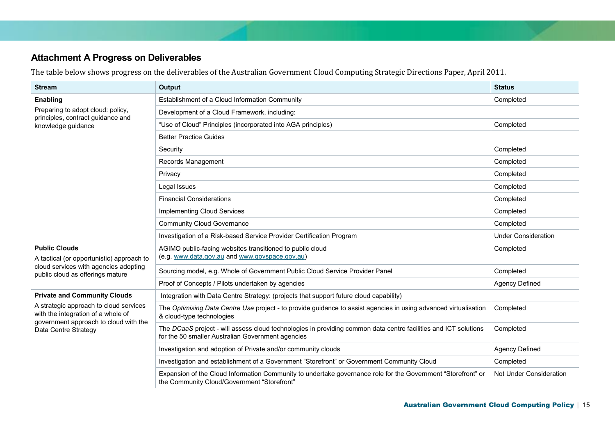# **Attachment A Progress on Deliverables**

The table below shows progress on the deliverables of the Australian Government Cloud Computing Strategic Directions Paper, April 2011.

| <b>Stream</b>                                                                      | Output                                                                                                                                                               | <b>Status</b>              |
|------------------------------------------------------------------------------------|----------------------------------------------------------------------------------------------------------------------------------------------------------------------|----------------------------|
| Enabling                                                                           | Establishment of a Cloud Information Community                                                                                                                       | Completed                  |
| Preparing to adopt cloud: policy,                                                  | Development of a Cloud Framework, including:                                                                                                                         |                            |
| principles, contract guidance and<br>knowledge guidance                            | "Use of Cloud" Principles (incorporated into AGA principles)                                                                                                         | Completed                  |
|                                                                                    | <b>Better Practice Guides</b>                                                                                                                                        |                            |
|                                                                                    | Security                                                                                                                                                             | Completed                  |
|                                                                                    | Records Management                                                                                                                                                   | Completed                  |
|                                                                                    | Privacy                                                                                                                                                              | Completed                  |
|                                                                                    | Legal Issues                                                                                                                                                         | Completed                  |
|                                                                                    | <b>Financial Considerations</b>                                                                                                                                      | Completed                  |
|                                                                                    | <b>Implementing Cloud Services</b>                                                                                                                                   | Completed                  |
|                                                                                    | <b>Community Cloud Governance</b>                                                                                                                                    | Completed                  |
|                                                                                    | Investigation of a Risk-based Service Provider Certification Program                                                                                                 | <b>Under Consideration</b> |
| <b>Public Clouds</b>                                                               | AGIMO public-facing websites transitioned to public cloud<br>(e.g. www.data.gov.au and www.govspace.gov.au)                                                          | Completed                  |
| A tactical (or opportunistic) approach to<br>cloud services with agencies adopting |                                                                                                                                                                      |                            |
| public cloud as offerings mature                                                   | Sourcing model, e.g. Whole of Government Public Cloud Service Provider Panel                                                                                         | Completed                  |
|                                                                                    | Proof of Concepts / Pilots undertaken by agencies                                                                                                                    | Agency Defined             |
| <b>Private and Community Clouds</b>                                                | Integration with Data Centre Strategy: (projects that support future cloud capability)                                                                               |                            |
| A strategic approach to cloud services<br>with the integration of a whole of       | The Optimising Data Centre Use project - to provide guidance to assist agencies in using advanced virtualisation<br>& cloud-type technologies                        | Completed                  |
| government approach to cloud with the<br>Data Centre Strategy                      | The DCaaS project - will assess cloud technologies in providing common data centre facilities and ICT solutions<br>for the 50 smaller Australian Government agencies | Completed                  |
|                                                                                    | Investigation and adoption of Private and/or community clouds                                                                                                        | Agency Defined             |
|                                                                                    | Investigation and establishment of a Government "Storefront" or Government Community Cloud                                                                           | Completed                  |
|                                                                                    | Expansion of the Cloud Information Community to undertake governance role for the Government "Storefront" or<br>the Community Cloud/Government "Storefront"          | Not Under Consideration    |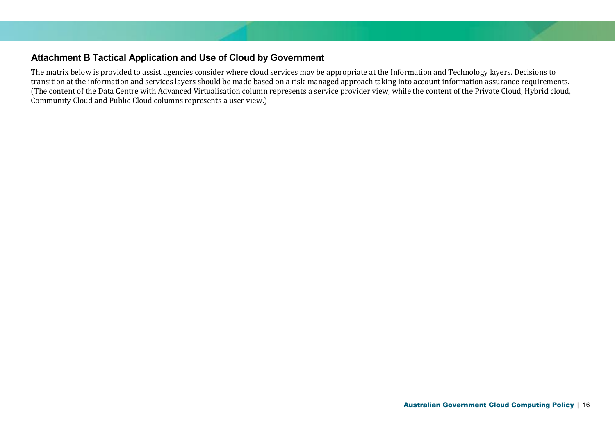## **Attachment B Tactical Application and Use of Cloud by Government**

<span id="page-15-0"></span>The matrix below is provided to assist agencies consider where cloud services may be appropriate at the Information and Technology layers. Decisions to transition at the information and services layers should be made based on a risk-managed approach taking into account information assurance requirements. (The content of the Data Centre with Advanced Virtualisation column represents a service provider view, while the content of the Private Cloud, Hybrid cloud, Community Cloud and Public Cloud columns represents a user view.)